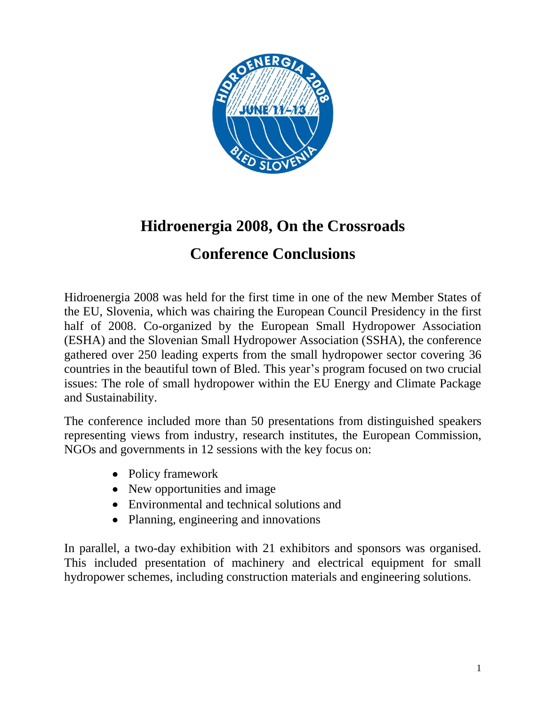

# **Hidroenergia 2008, On the Crossroads**

## **Conference Conclusions**

Hidroenergia 2008 was held for the first time in one of the new Member States of the EU, Slovenia, which was chairing the European Council Presidency in the first half of 2008. Co-organized by the European Small Hydropower Association (ESHA) and the Slovenian Small Hydropower Association (SSHA), the conference gathered over 250 leading experts from the small hydropower sector covering 36 countries in the beautiful town of Bled. This year's program focused on two crucial issues: The role of small hydropower within the EU Energy and Climate Package and Sustainability.

The conference included more than 50 presentations from distinguished speakers representing views from industry, research institutes, the European Commission, NGOs and governments in 12 sessions with the key focus on:

- Policy framework
- New opportunities and image
- Environmental and technical solutions and
- Planning, engineering and innovations

In parallel, a two-day exhibition with 21 exhibitors and sponsors was organised. This included presentation of machinery and electrical equipment for small hydropower schemes, including construction materials and engineering solutions.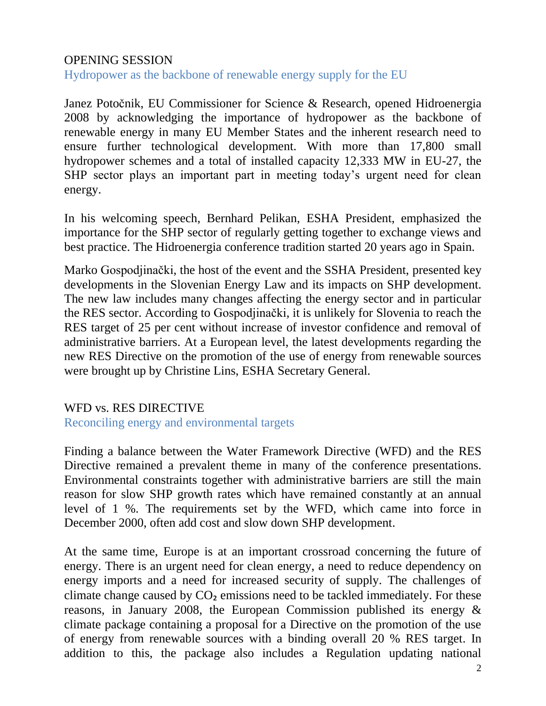#### OPENING SESSION Hydropower as the backbone of renewable energy supply for the EU

Janez Potočnik, EU Commissioner for Science & Research, opened Hidroenergia 2008 by acknowledging the importance of hydropower as the backbone of renewable energy in many EU Member States and the inherent research need to ensure further technological development. With more than 17,800 small hydropower schemes and a total of installed capacity 12,333 MW in EU-27, the SHP sector plays an important part in meeting today's urgent need for clean energy.

In his welcoming speech, Bernhard Pelikan, ESHA President, emphasized the importance for the SHP sector of regularly getting together to exchange views and best practice. The Hidroenergia conference tradition started 20 years ago in Spain.

Marko Gospodjinački, the host of the event and the SSHA President, presented key developments in the Slovenian Energy Law and its impacts on SHP development. The new law includes many changes affecting the energy sector and in particular the RES sector. According to Gospodjinački, it is unlikely for Slovenia to reach the RES target of 25 per cent without increase of investor confidence and removal of administrative barriers. At a European level, the latest developments regarding the new RES Directive on the promotion of the use of energy from renewable sources were brought up by Christine Lins, ESHA Secretary General.

#### WFD vs. RES DIRECTIVE

Reconciling energy and environmental targets

Finding a balance between the Water Framework Directive (WFD) and the RES Directive remained a prevalent theme in many of the conference presentations. Environmental constraints together with administrative barriers are still the main reason for slow SHP growth rates which have remained constantly at an annual level of 1 %. The requirements set by the WFD, which came into force in December 2000, often add cost and slow down SHP development.

At the same time, Europe is at an important crossroad concerning the future of energy. There is an urgent need for clean energy, a need to reduce dependency on energy imports and a need for increased security of supply. The challenges of climate change caused by CO₂ emissions need to be tackled immediately. For these reasons, in January 2008, the European Commission published its energy & climate package containing a proposal for a Directive on the promotion of the use of energy from renewable sources with a binding overall 20 % RES target. In addition to this, the package also includes a Regulation updating national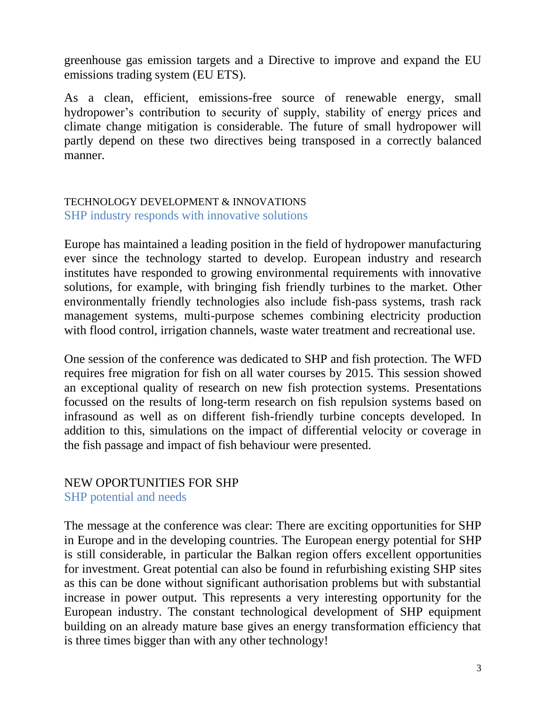greenhouse gas emission targets and a Directive to improve and expand the EU emissions trading system (EU ETS).

As a clean, efficient, emissions-free source of renewable energy, small hydropower's contribution to security of supply, stability of energy prices and climate change mitigation is considerable. The future of small hydropower will partly depend on these two directives being transposed in a correctly balanced manner.

#### TECHNOLOGY DEVELOPMENT & INNOVATIONS SHP industry responds with innovative solutions

Europe has maintained a leading position in the field of hydropower manufacturing ever since the technology started to develop. European industry and research institutes have responded to growing environmental requirements with innovative solutions, for example, with bringing fish friendly turbines to the market. Other environmentally friendly technologies also include fish-pass systems, trash rack management systems, multi-purpose schemes combining electricity production with flood control, irrigation channels, waste water treatment and recreational use.

One session of the conference was dedicated to SHP and fish protection. The WFD requires free migration for fish on all water courses by 2015. This session showed an exceptional quality of research on new fish protection systems. Presentations focussed on the results of long-term research on fish repulsion systems based on infrasound as well as on different fish-friendly turbine concepts developed. In addition to this, simulations on the impact of differential velocity or coverage in the fish passage and impact of fish behaviour were presented.

#### NEW OPORTUNITIES FOR SHP SHP potential and needs

The message at the conference was clear: There are exciting opportunities for SHP in Europe and in the developing countries. The European energy potential for SHP is still considerable, in particular the Balkan region offers excellent opportunities for investment. Great potential can also be found in refurbishing existing SHP sites as this can be done without significant authorisation problems but with substantial increase in power output. This represents a very interesting opportunity for the European industry. The constant technological development of SHP equipment building on an already mature base gives an energy transformation efficiency that is three times bigger than with any other technology!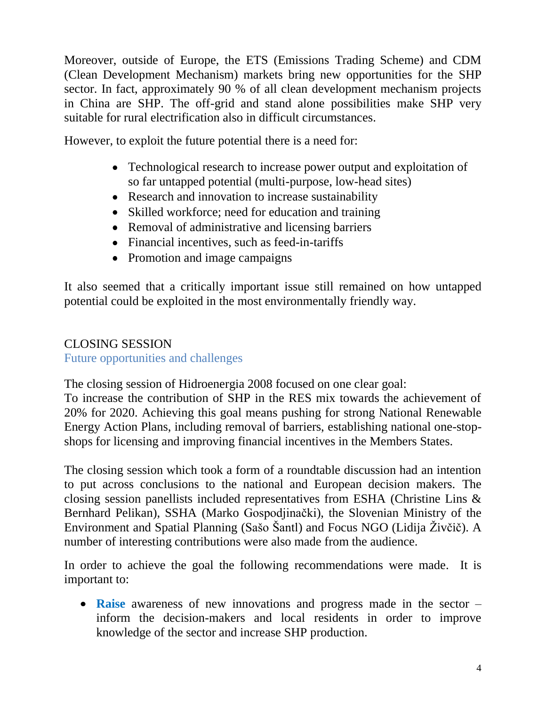Moreover, outside of Europe, the ETS (Emissions Trading Scheme) and CDM (Clean Development Mechanism) markets bring new opportunities for the SHP sector. In fact, approximately 90 % of all clean development mechanism projects in China are SHP. The off-grid and stand alone possibilities make SHP very suitable for rural electrification also in difficult circumstances.

However, to exploit the future potential there is a need for:

- Technological research to increase power output and exploitation of so far untapped potential (multi-purpose, low-head sites)
- Research and innovation to increase sustainability
- Skilled workforce; need for education and training
- Removal of administrative and licensing barriers
- Financial incentives, such as feed-in-tariffs
- Promotion and image campaigns

It also seemed that a critically important issue still remained on how untapped potential could be exploited in the most environmentally friendly way.

### CLOSING SESSION

Future opportunities and challenges

The closing session of Hidroenergia 2008 focused on one clear goal:

To increase the contribution of SHP in the RES mix towards the achievement of 20% for 2020. Achieving this goal means pushing for strong National Renewable Energy Action Plans, including removal of barriers, establishing national one-stopshops for licensing and improving financial incentives in the Members States.

The closing session which took a form of a roundtable discussion had an intention to put across conclusions to the national and European decision makers. The closing session panellists included representatives from ESHA (Christine Lins & Bernhard Pelikan), SSHA (Marko Gospodjinački), the Slovenian Ministry of the Environment and Spatial Planning (Sašo Šantl) and Focus NGO (Lidija Živčič). A number of interesting contributions were also made from the audience.

In order to achieve the goal the following recommendations were made. It is important to:

**Raise** awareness of new innovations and progress made in the sector – inform the decision-makers and local residents in order to improve knowledge of the sector and increase SHP production.